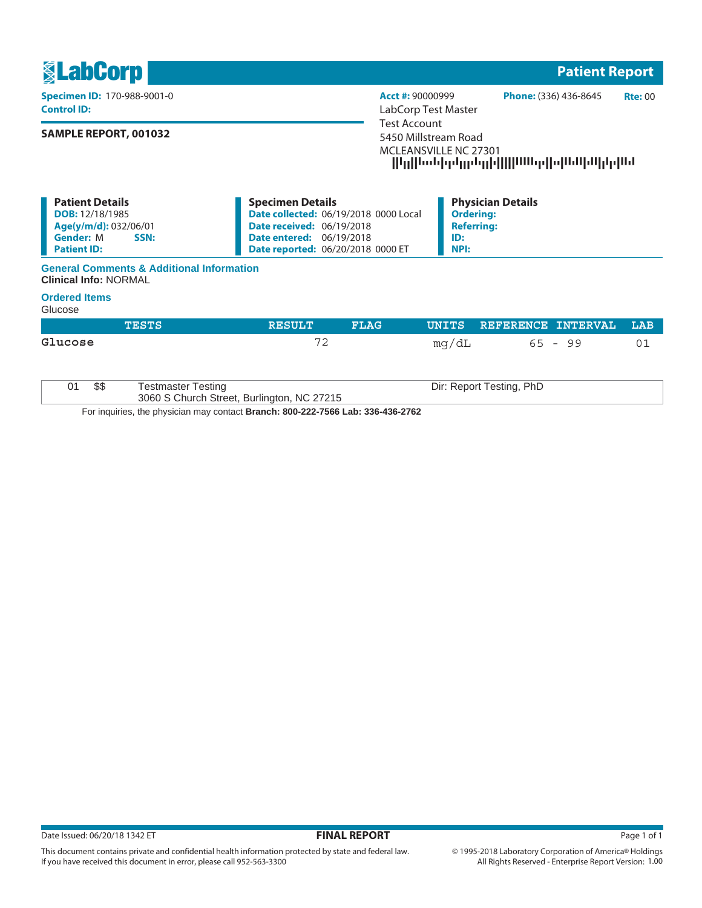| <b><u>SLabCorp</u></b>                                                                                                      |                                                                                                                                                                                     | <b>Patient Report</b>                                                                                           |  |  |  |
|-----------------------------------------------------------------------------------------------------------------------------|-------------------------------------------------------------------------------------------------------------------------------------------------------------------------------------|-----------------------------------------------------------------------------------------------------------------|--|--|--|
| <b>Specimen ID: 170-988-9001-0</b><br><b>Control ID:</b>                                                                    | Acct #: 90000999<br>LabCorp Test Master                                                                                                                                             | <b>Phone: (336) 436-8645</b><br>Rte:00                                                                          |  |  |  |
| <b>SAMPLE REPORT, 001032</b>                                                                                                |                                                                                                                                                                                     | Test Account<br>5450 Millstream Road<br>MCLEANSVILLE NC 27301<br>  In  loddqdmdm d     11111q  a 11.11 d  dql1d |  |  |  |
| <b>Patient Details</b><br><b>DOB:</b> 12/18/1985<br>Age(y/m/d): 032/06/01<br><b>Gender: M</b><br>SSN:<br><b>Patient ID:</b> | <b>Specimen Details</b><br>Date collected: 06/19/2018 0000 Local<br><b>Date received: 06/19/2018</b><br><b>Date entered: 06/19/2018</b><br><b>Date reported: 06/20/2018 0000 ET</b> | <b>Physician Details</b><br><b>Ordering:</b><br><b>Referring:</b><br>ID:<br>NPI:                                |  |  |  |

## **General Comments & Additional Information Clinical Info:** NORMAL

## **Ordered Items**

Glucose

|         |      | <b>TESTS</b>                                                                    | <b>RESULT</b> | <b>FLAG</b> | UNITS | REFERENCE INTERVAL       | LAB |  |
|---------|------|---------------------------------------------------------------------------------|---------------|-------------|-------|--------------------------|-----|--|
| Glucose |      |                                                                                 | 72            |             | mq/dL | 65 - 99                  | 01  |  |
| 01      | \$\$ | <b>Testmaster Testing</b><br>3060 S Church Street, Burlington, NC 27215         |               |             |       | Dir: Report Testing, PhD |     |  |
|         |      | For inquiries, the physician may contact Branch: 800-222-7566 Lab: 336-436-2762 |               |             |       |                          |     |  |

This document contains private and confidential health information protected by state and federal law.

If you have received this document in error, please call 952-563-3300